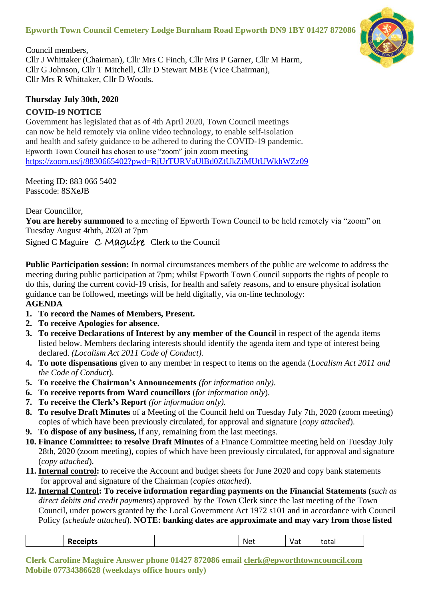# **Epworth Town Council Cemetery Lodge Burnham Road Epworth DN9 1BY 01427 872086**



Council members, Cllr J Whittaker (Chairman), Cllr Mrs C Finch, Cllr Mrs P Garner, Cllr M Harm, Cllr G Johnson, Cllr T Mitchell, Cllr D Stewart MBE (Vice Chairman), Cllr Mrs R Whittaker, Cllr D Woods.

#### **Thursday July 30th, 2020**

## **COVID-19 NOTICE**

Government has legislated that as of 4th April 2020, Town Council meetings can now be held remotely via online video technology, to enable self-isolation and health and safety guidance to be adhered to during the COVID-19 pandemic. Epworth Town Council has chosen to use "zoom" join zoom meeting <https://zoom.us/j/8830665402?pwd=RjUrTURVaUlBd0ZtUkZiMUtUWkhWZz09>

Meeting ID: 883 066 5402 Passcode: 8SXeJB

Dear Councillor,

**You are hereby summoned** to a meeting of Epworth Town Council to be held remotely via "zoom" on Tuesday August 4thth, 2020 at 7pm

Signed C Maguire C Maquire Clerk to the Council

**Public Participation session:** In normal circumstances members of the public are welcome to address the meeting during public participation at 7pm; whilst Epworth Town Council supports the rights of people to do this, during the current covid-19 crisis, for health and safety reasons, and to ensure physical isolation guidance can be followed, meetings will be held digitally, via on-line technology: **AGENDA**

- **1. To record the Names of Members, Present.**
- **2. To receive Apologies for absence.**
- **3. To receive Declarations of Interest by any member of the Council** in respect of the agenda items listed below. Members declaring interests should identify the agenda item and type of interest being declared. *(Localism Act 2011 Code of Conduct).*
- **4. To note dispensations** given to any member in respect to items on the agenda (*Localism Act 2011 and the Code of Conduct*).
- **5. To receive the Chairman's Announcements** *(for information only)*.
- **6. To receive reports from Ward councillors** (*for information only*).
- **7. To receive the Clerk's Report** *(for information only).*
- **8. To resolve Draft Minutes** of a Meeting of the Council held on Tuesday July 7th, 2020 (zoom meeting) copies of which have been previously circulated, for approval and signature (*copy attached*).
- **9. To dispose of any business,** if any, remaining from the last meetings.
- **10. Finance Committee: to resolve Draft Minutes** of a Finance Committee meeting held on Tuesday July 28th, 2020 (zoom meeting), copies of which have been previously circulated, for approval and signature (*copy attached*).
- **11. Internal control:** to receive the Account and budget sheets for June 2020 and copy bank statements for approval and signature of the Chairman (*copies attached*).
- **12. Internal Control: To receive information regarding payments on the Financial Statements (***such as direct debits and credit payments*) approved by the Town Clerk since the last meeting of the Town Council, under powers granted by the Local Government Act 1972 s101 and in accordance with Council Policy (*schedule attached*). **NOTE: banking dates are approximate and may vary from those listed**

| ναι<br>ιυια·<br>. .<br>ヽ」<br>__<br>. |
|--------------------------------------|
|--------------------------------------|

**Clerk Caroline Maguire Answer phone 01427 872086 email [clerk@epworthtowncouncil.com](mailto:clerk@epworthtowncouncil.com) Mobile 07734386628 (weekdays office hours only)**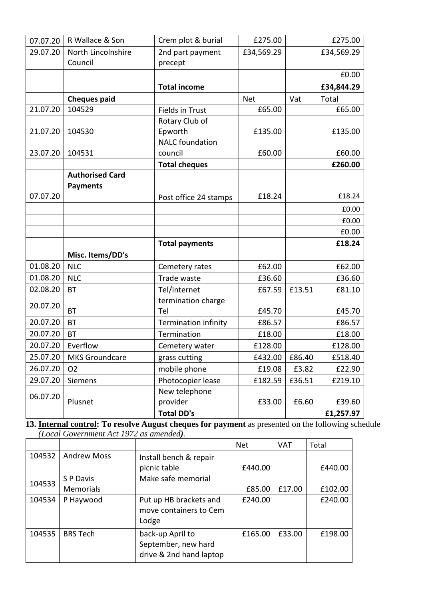| 07.07.20 | R Wallace & Son               | Crem plot & burial          | £275.00    |        | £275.00    |
|----------|-------------------------------|-----------------------------|------------|--------|------------|
| 29.07.20 | North Lincolnshire<br>Council | 2nd part payment<br>precept | £34,569.29 |        | £34,569.29 |
|          |                               |                             |            |        | £0.00      |
|          |                               | <b>Total income</b>         |            |        | £34,844.29 |
|          | <b>Cheques paid</b>           |                             | <b>Net</b> | Vat    | Total      |
| 21.07.20 | 104529                        | Fields in Trust             | £65.00     |        | £65.00     |
|          |                               | Rotary Club of              |            |        |            |
| 21.07.20 | 104530                        | Epworth                     | £135.00    |        | £135.00    |
|          |                               | <b>NALC</b> foundation      |            |        |            |
| 23.07.20 | 104531                        | council                     | £60.00     |        | £60.00     |
|          |                               | <b>Total cheques</b>        |            |        | £260.00    |
|          | <b>Authorised Card</b>        |                             |            |        |            |
|          | <b>Payments</b>               |                             |            |        |            |
| 07.07.20 |                               | Post office 24 stamps       | £18.24     |        | £18.24     |
|          |                               |                             |            |        | £0.00      |
|          |                               |                             |            |        | £0.00      |
|          |                               |                             |            |        | £0.00      |
|          |                               | <b>Total payments</b>       |            |        | £18.24     |
|          | Misc. Items/DD's              |                             |            |        |            |
| 01.08.20 | <b>NLC</b>                    | Cemetery rates              | £62.00     |        | £62.00     |
| 01.08.20 | <b>NLC</b>                    | Trade waste                 | £36.60     |        | £36.60     |
| 02.08.20 | <b>BT</b>                     | Tel/internet                | £67.59     | £13.51 | £81.10     |
|          |                               | termination charge          |            |        |            |
| 20.07.20 | <b>BT</b>                     | Tel                         | £45.70     |        | £45.70     |
| 20.07.20 | <b>BT</b>                     | Termination infinity        | £86.57     |        | £86.57     |
| 20.07.20 | <b>BT</b>                     | Termination                 | £18.00     |        | £18.00     |
| 20.07.20 | Everflow                      | Cemetery water              | £128.00    |        | £128.00    |
| 25.07.20 | <b>MKS Groundcare</b>         | grass cutting               | £432.00    | £86.40 | £518.40    |
| 26.07.20 | O <sub>2</sub>                | mobile phone                | £19.08     | £3.82  | £22.90     |
| 29.07.20 | Siemens                       | Photocopier lease           | £182.59    | £36.51 | £219.10    |
|          |                               | New telephone               |            |        |            |
| 06.07.20 | Plusnet                       | provider                    | £33.00     | £6.60  | £39.60     |
|          |                               | <b>Total DD's</b>           |            |        | £1,257.97  |

**13. Internal control: To resolve August cheques for payment** as presented on the following schedule *(Local Government Act 1972 as amended).*

|        |                    |                         | Net     | <b>VAT</b> | Total   |
|--------|--------------------|-------------------------|---------|------------|---------|
| 104532 | <b>Andrew Moss</b> | Install bench & repair  |         |            |         |
|        |                    | picnic table            | £440.00 |            | £440.00 |
| 104533 | S P Davis          | Make safe memorial      |         |            |         |
|        | <b>Memorials</b>   |                         | £85.00  | £17.00     | £102.00 |
| 104534 | P Haywood          | Put up HB brackets and  | £240.00 |            | £240.00 |
|        |                    | move containers to Cem  |         |            |         |
|        |                    | Lodge                   |         |            |         |
| 104535 | <b>BRS Tech</b>    | back-up April to        | £165.00 | £33.00     | £198.00 |
|        |                    | September, new hard     |         |            |         |
|        |                    | drive & 2nd hand laptop |         |            |         |